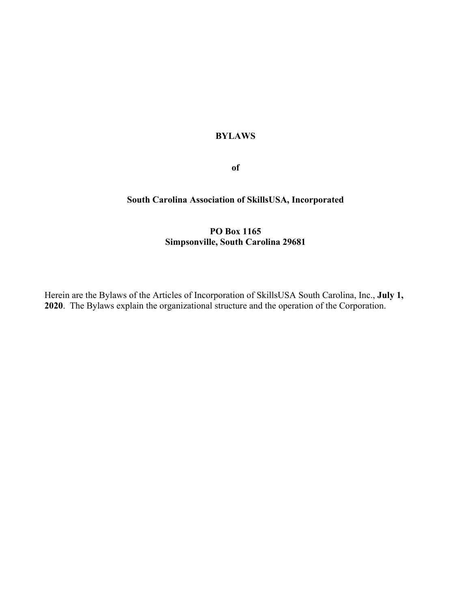# **BYLAWS**

**of**

# **South Carolina Association of SkillsUSA, Incorporated**

# **PO Box 1165 Simpsonville, South Carolina 29681**

Herein are the Bylaws of the Articles of Incorporation of SkillsUSA South Carolina, Inc., **July 1, 2020**. The Bylaws explain the organizational structure and the operation of the Corporation.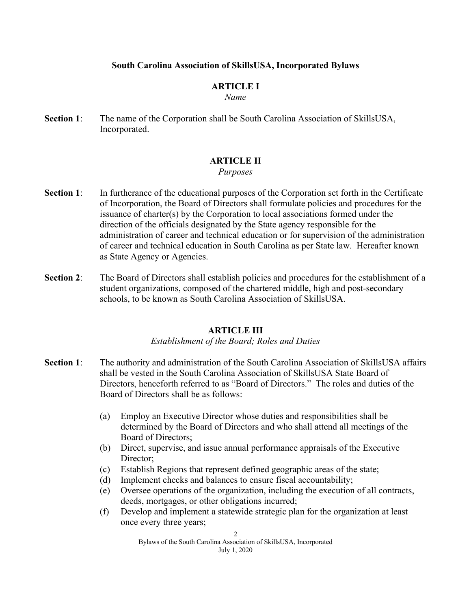### **South Carolina Association of SkillsUSA, Incorporated Bylaws**

### **ARTICLE I**

#### *Name*

**Section 1**: The name of the Corporation shall be South Carolina Association of SkillsUSA, Incorporated.

### **ARTICLE II**

#### *Purposes*

- **Section 1**: In furtherance of the educational purposes of the Corporation set forth in the Certificate of Incorporation, the Board of Directors shall formulate policies and procedures for the issuance of charter(s) by the Corporation to local associations formed under the direction of the officials designated by the State agency responsible for the administration of career and technical education or for supervision of the administration of career and technical education in South Carolina as per State law. Hereafter known as State Agency or Agencies.
- **Section 2**: The Board of Directors shall establish policies and procedures for the establishment of a student organizations, composed of the chartered middle, high and post-secondary schools, to be known as South Carolina Association of SkillsUSA.

#### **ARTICLE III**

#### *Establishment of the Board; Roles and Duties*

- **Section 1**: The authority and administration of the South Carolina Association of SkillsUSA affairs shall be vested in the South Carolina Association of SkillsUSA State Board of Directors, henceforth referred to as "Board of Directors." The roles and duties of the Board of Directors shall be as follows:
	- (a) Employ an Executive Director whose duties and responsibilities shall be determined by the Board of Directors and who shall attend all meetings of the Board of Directors;
	- (b) Direct, supervise, and issue annual performance appraisals of the Executive Director:
	- (c) Establish Regions that represent defined geographic areas of the state;
	- (d) Implement checks and balances to ensure fiscal accountability;
	- (e) Oversee operations of the organization, including the execution of all contracts, deeds, mortgages, or other obligations incurred;
	- (f) Develop and implement a statewide strategic plan for the organization at least once every three years;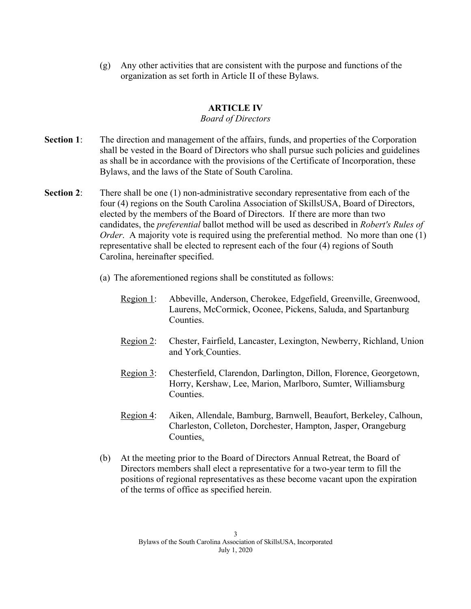(g) Any other activities that are consistent with the purpose and functions of the organization as set forth in Article II of these Bylaws.

# **ARTICLE IV**

#### *Board of Directors*

- **Section 1:** The direction and management of the affairs, funds, and properties of the Corporation shall be vested in the Board of Directors who shall pursue such policies and guidelines as shall be in accordance with the provisions of the Certificate of Incorporation, these Bylaws, and the laws of the State of South Carolina.
- **Section 2:** There shall be one (1) non-administrative secondary representative from each of the four (4) regions on the South Carolina Association of SkillsUSA, Board of Directors, elected by the members of the Board of Directors. If there are more than two candidates, the *preferential* ballot method will be used as described in *Robert's Rules of Order*. A majority vote is required using the preferential method. No more than one (1) representative shall be elected to represent each of the four (4) regions of South Carolina, hereinafter specified.
	- (a) The aforementioned regions shall be constituted as follows:
		- Region 1: Abbeville, Anderson, Cherokee, Edgefield, Greenville, Greenwood, Laurens, McCormick, Oconee, Pickens, Saluda, and Spartanburg Counties.
		- Region 2: Chester, Fairfield, Lancaster, Lexington, Newberry, Richland, Union and York Counties.
		- Region 3: Chesterfield, Clarendon, Darlington, Dillon, Florence, Georgetown, Horry, Kershaw, Lee, Marion, Marlboro, Sumter, Williamsburg Counties.
		- Region 4: Aiken, Allendale, Bamburg, Barnwell, Beaufort, Berkeley, Calhoun, Charleston, Colleton, Dorchester, Hampton, Jasper, Orangeburg Counties.
	- (b) At the meeting prior to the Board of Directors Annual Retreat, the Board of Directors members shall elect a representative for a two-year term to fill the positions of regional representatives as these become vacant upon the expiration of the terms of office as specified herein.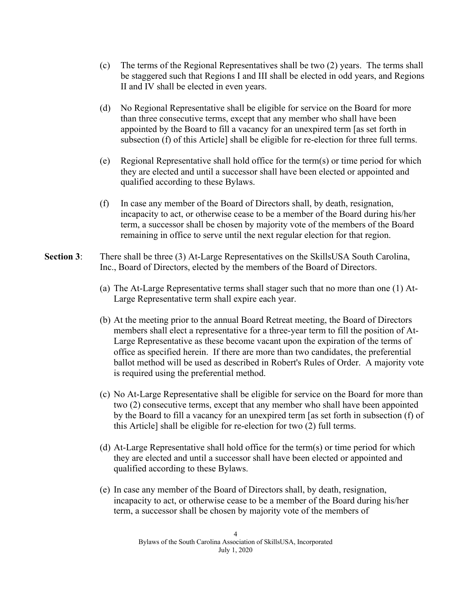- (c) The terms of the Regional Representatives shall be two (2) years. The terms shall be staggered such that Regions I and III shall be elected in odd years, and Regions II and IV shall be elected in even years.
- (d) No Regional Representative shall be eligible for service on the Board for more than three consecutive terms, except that any member who shall have been appointed by the Board to fill a vacancy for an unexpired term [as set forth in subsection (f) of this Article] shall be eligible for re-election for three full terms.
- (e) Regional Representative shall hold office for the term(s) or time period for which they are elected and until a successor shall have been elected or appointed and qualified according to these Bylaws.
- (f) In case any member of the Board of Directors shall, by death, resignation, incapacity to act, or otherwise cease to be a member of the Board during his/her term, a successor shall be chosen by majority vote of the members of the Board remaining in office to serve until the next regular election for that region.
- **Section 3**: There shall be three (3) At-Large Representatives on the SkillsUSA South Carolina, Inc., Board of Directors, elected by the members of the Board of Directors.
	- (a) The At-Large Representative terms shall stager such that no more than one (1) At-Large Representative term shall expire each year.
	- (b) At the meeting prior to the annual Board Retreat meeting, the Board of Directors members shall elect a representative for a three-year term to fill the position of At-Large Representative as these become vacant upon the expiration of the terms of office as specified herein. If there are more than two candidates, the preferential ballot method will be used as described in Robert's Rules of Order. A majority vote is required using the preferential method.
	- (c) No At-Large Representative shall be eligible for service on the Board for more than two (2) consecutive terms, except that any member who shall have been appointed by the Board to fill a vacancy for an unexpired term [as set forth in subsection (f) of this Article] shall be eligible for re-election for two (2) full terms.
	- (d) At-Large Representative shall hold office for the term(s) or time period for which they are elected and until a successor shall have been elected or appointed and qualified according to these Bylaws.
	- (e) In case any member of the Board of Directors shall, by death, resignation, incapacity to act, or otherwise cease to be a member of the Board during his/her term, a successor shall be chosen by majority vote of the members of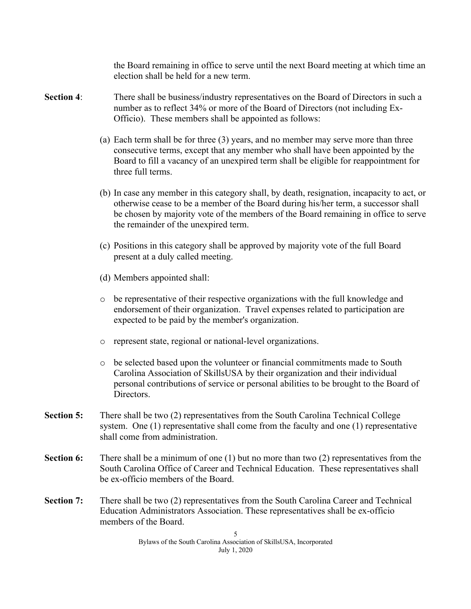the Board remaining in office to serve until the next Board meeting at which time an election shall be held for a new term.

- **Section 4**: There shall be business/industry representatives on the Board of Directors in such a number as to reflect 34% or more of the Board of Directors (not including Ex-Officio). These members shall be appointed as follows:
	- (a) Each term shall be for three (3) years, and no member may serve more than three consecutive terms, except that any member who shall have been appointed by the Board to fill a vacancy of an unexpired term shall be eligible for reappointment for three full terms.
	- (b) In case any member in this category shall, by death, resignation, incapacity to act, or otherwise cease to be a member of the Board during his/her term, a successor shall be chosen by majority vote of the members of the Board remaining in office to serve the remainder of the unexpired term.
	- (c) Positions in this category shall be approved by majority vote of the full Board present at a duly called meeting.
	- (d) Members appointed shall:
	- o be representative of their respective organizations with the full knowledge and endorsement of their organization. Travel expenses related to participation are expected to be paid by the member's organization.
	- o represent state, regional or national-level organizations.
	- o be selected based upon the volunteer or financial commitments made to South Carolina Association of SkillsUSA by their organization and their individual personal contributions of service or personal abilities to be brought to the Board of Directors.
- **Section 5:** There shall be two (2) representatives from the South Carolina Technical College system. One (1) representative shall come from the faculty and one (1) representative shall come from administration.
- **Section 6:** There shall be a minimum of one (1) but no more than two (2) representatives from the South Carolina Office of Career and Technical Education. These representatives shall be ex-officio members of the Board.
- **Section 7:** There shall be two (2) representatives from the South Carolina Career and Technical Education Administrators Association. These representatives shall be ex-officio members of the Board.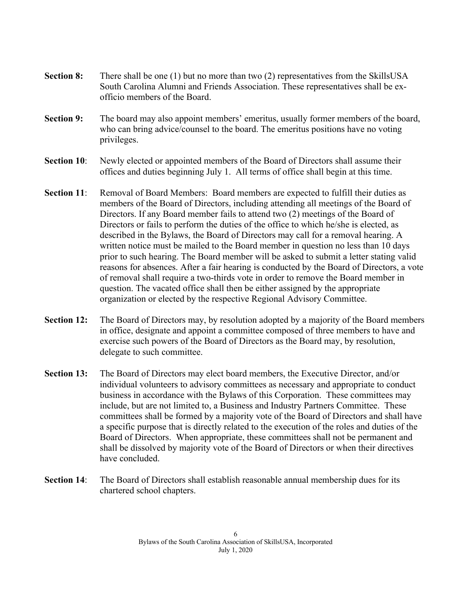- **Section 8:** There shall be one (1) but no more than two (2) representatives from the SkillsUSA South Carolina Alumni and Friends Association. These representatives shall be exofficio members of the Board.
- **Section 9:** The board may also appoint members' emeritus, usually former members of the board, who can bring advice/counsel to the board. The emeritus positions have no voting privileges.
- **Section 10:** Newly elected or appointed members of the Board of Directors shall assume their offices and duties beginning July 1. All terms of office shall begin at this time.
- **Section 11:** Removal of Board Members: Board members are expected to fulfill their duties as members of the Board of Directors, including attending all meetings of the Board of Directors. If any Board member fails to attend two (2) meetings of the Board of Directors or fails to perform the duties of the office to which he/she is elected, as described in the Bylaws, the Board of Directors may call for a removal hearing. A written notice must be mailed to the Board member in question no less than 10 days prior to such hearing. The Board member will be asked to submit a letter stating valid reasons for absences. After a fair hearing is conducted by the Board of Directors, a vote of removal shall require a two-thirds vote in order to remove the Board member in question. The vacated office shall then be either assigned by the appropriate organization or elected by the respective Regional Advisory Committee.
- **Section 12:** The Board of Directors may, by resolution adopted by a majority of the Board members in office, designate and appoint a committee composed of three members to have and exercise such powers of the Board of Directors as the Board may, by resolution, delegate to such committee.
- **Section 13:** The Board of Directors may elect board members, the Executive Director, and/or individual volunteers to advisory committees as necessary and appropriate to conduct business in accordance with the Bylaws of this Corporation. These committees may include, but are not limited to, a Business and Industry Partners Committee. These committees shall be formed by a majority vote of the Board of Directors and shall have a specific purpose that is directly related to the execution of the roles and duties of the Board of Directors. When appropriate, these committees shall not be permanent and shall be dissolved by majority vote of the Board of Directors or when their directives have concluded.
- **Section 14**: The Board of Directors shall establish reasonable annual membership dues for its chartered school chapters.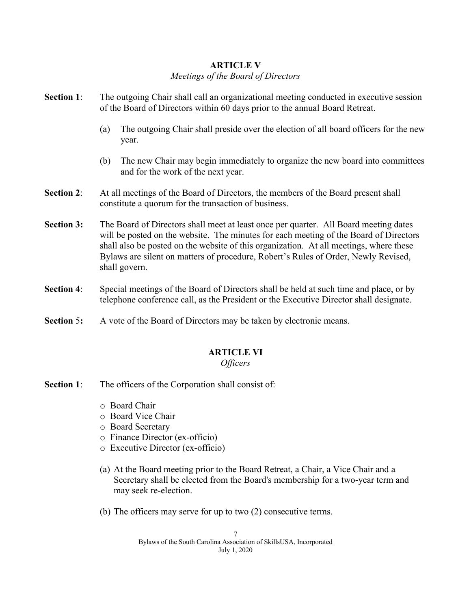# **ARTICLE V**

### *Meetings of the Board of Directors*

| <b>Section 1:</b> | The outgoing Chair shall call an organizational meeting conducted in executive session<br>of the Board of Directors within 60 days prior to the annual Board Retreat.                                                                                                                                                                                                          |
|-------------------|--------------------------------------------------------------------------------------------------------------------------------------------------------------------------------------------------------------------------------------------------------------------------------------------------------------------------------------------------------------------------------|
|                   | The outgoing Chair shall preside over the election of all board officers for the new<br>(a)<br>year.                                                                                                                                                                                                                                                                           |
|                   | The new Chair may begin immediately to organize the new board into committees<br>(b)<br>and for the work of the next year.                                                                                                                                                                                                                                                     |
| <b>Section 2:</b> | At all meetings of the Board of Directors, the members of the Board present shall<br>constitute a quorum for the transaction of business.                                                                                                                                                                                                                                      |
| <b>Section 3:</b> | The Board of Directors shall meet at least once per quarter. All Board meeting dates<br>will be posted on the website. The minutes for each meeting of the Board of Directors<br>shall also be posted on the website of this organization. At all meetings, where these<br>Bylaws are silent on matters of procedure, Robert's Rules of Order, Newly Revised,<br>shall govern. |
| <b>Section 4:</b> | Special meetings of the Board of Directors shall be held at such time and place, or by<br>telephone conference call, as the President or the Executive Director shall designate.                                                                                                                                                                                               |

**Section 5:** A vote of the Board of Directors may be taken by electronic means.

# **ARTICLE VI**

# *Officers*

- **Section 1:** The officers of the Corporation shall consist of:
	- o Board Chair
	- o Board Vice Chair
	- o Board Secretary
	- o Finance Director (ex-officio)
	- o Executive Director (ex-officio)
	- (a) At the Board meeting prior to the Board Retreat, a Chair, a Vice Chair and a Secretary shall be elected from the Board's membership for a two-year term and may seek re-election.
	- (b) The officers may serve for up to two (2) consecutive terms.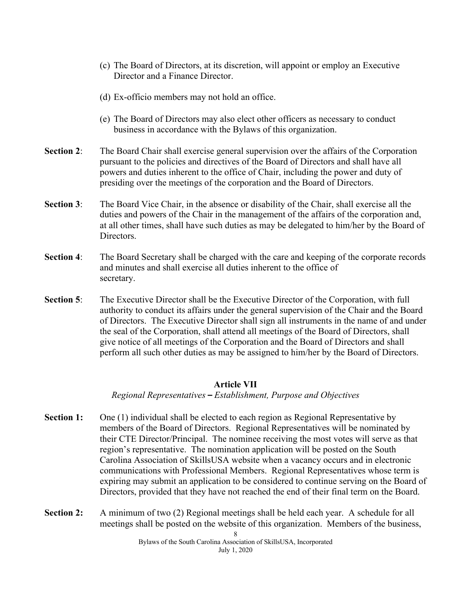- (c) The Board of Directors, at its discretion, will appoint or employ an Executive Director and a Finance Director.
- (d) Ex-officio members may not hold an office.
- (e) The Board of Directors may also elect other officers as necessary to conduct business in accordance with the Bylaws of this organization.
- **Section 2:** The Board Chair shall exercise general supervision over the affairs of the Corporation pursuant to the policies and directives of the Board of Directors and shall have all powers and duties inherent to the office of Chair, including the power and duty of presiding over the meetings of the corporation and the Board of Directors.
- **Section 3:** The Board Vice Chair, in the absence or disability of the Chair, shall exercise all the duties and powers of the Chair in the management of the affairs of the corporation and, at all other times, shall have such duties as may be delegated to him/her by the Board of Directors.
- **Section 4**: The Board Secretary shall be charged with the care and keeping of the corporate records and minutes and shall exercise all duties inherent to the office of secretary.
- **Section 5**: The Executive Director shall be the Executive Director of the Corporation, with full authority to conduct its affairs under the general supervision of the Chair and the Board of Directors. The Executive Director shall sign all instruments in the name of and under the seal of the Corporation, shall attend all meetings of the Board of Directors, shall give notice of all meetings of the Corporation and the Board of Directors and shall perform all such other duties as may be assigned to him/her by the Board of Directors.

#### **Article VII**

*Regional Representatives* **–** *Establishment, Purpose and Objectives*

- **Section 1:** One (1) individual shall be elected to each region as Regional Representative by members of the Board of Directors. Regional Representatives will be nominated by their CTE Director/Principal. The nominee receiving the most votes will serve as that region's representative. The nomination application will be posted on the South Carolina Association of SkillsUSA website when a vacancy occurs and in electronic communications with Professional Members. Regional Representatives whose term is expiring may submit an application to be considered to continue serving on the Board of Directors, provided that they have not reached the end of their final term on the Board.
- **Section 2:** A minimum of two (2) Regional meetings shall be held each year. A schedule for all meetings shall be posted on the website of this organization. Members of the business,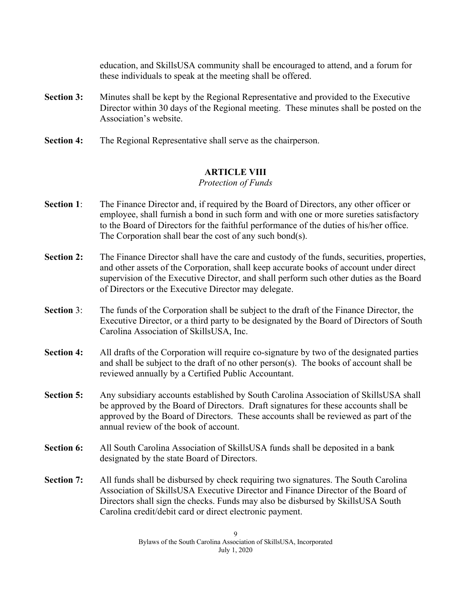education, and SkillsUSA community shall be encouraged to attend, and a forum for these individuals to speak at the meeting shall be offered.

- **Section 3:** Minutes shall be kept by the Regional Representative and provided to the Executive Director within 30 days of the Regional meeting. These minutes shall be posted on the Association's website.
- **Section 4:** The Regional Representative shall serve as the chairperson.

# **ARTICLE VIII**

### *Protection of Funds*

- **Section 1**: The Finance Director and, if required by the Board of Directors, any other officer or employee, shall furnish a bond in such form and with one or more sureties satisfactory to the Board of Directors for the faithful performance of the duties of his/her office. The Corporation shall bear the cost of any such bond(s).
- **Section 2:** The Finance Director shall have the care and custody of the funds, securities, properties, and other assets of the Corporation, shall keep accurate books of account under direct supervision of the Executive Director, and shall perform such other duties as the Board of Directors or the Executive Director may delegate.
- **Section** 3: The funds of the Corporation shall be subject to the draft of the Finance Director, the Executive Director, or a third party to be designated by the Board of Directors of South Carolina Association of SkillsUSA, Inc.
- **Section 4:** All drafts of the Corporation will require co-signature by two of the designated parties and shall be subject to the draft of no other person(s). The books of account shall be reviewed annually by a Certified Public Accountant.
- **Section 5:** Any subsidiary accounts established by South Carolina Association of SkillsUSA shall be approved by the Board of Directors. Draft signatures for these accounts shall be approved by the Board of Directors. These accounts shall be reviewed as part of the annual review of the book of account.
- **Section 6:** All South Carolina Association of SkillsUSA funds shall be deposited in a bank designated by the state Board of Directors.
- **Section 7:** All funds shall be disbursed by check requiring two signatures. The South Carolina Association of SkillsUSA Executive Director and Finance Director of the Board of Directors shall sign the checks. Funds may also be disbursed by SkillsUSA South Carolina credit/debit card or direct electronic payment.